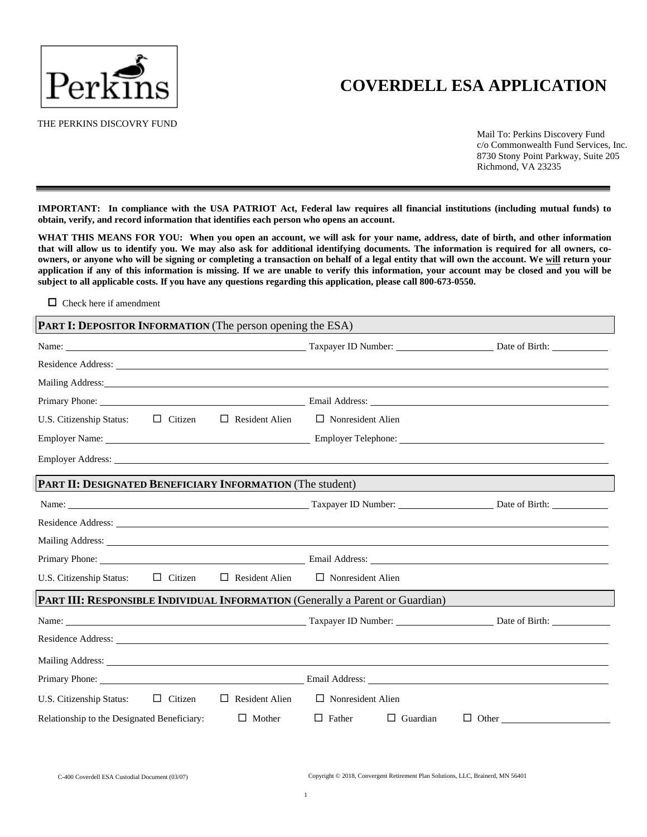

# **COVERDELL ESA APPLICATION**

THE PERKINS DISCOVRY FUND

Mail To: Perkins Discovery Fund c/o Commonwealth Fund Services, Inc. 8730 Stony Point Parkway, Suite 205 Richmond, VA 23235

IMPORTANT: In compliance with the USA PATRIOT Act, Federal law requires all financial institutions (including mutual funds) to **obtain, verify, and record information that identifies each person who opens an account.**

WHAT THIS MEANS FOR YOU: When you open an account, we will ask for your name, address, date of birth, and other information that will allow us to identify you. We may also ask for additional identifying documents. The information is required for all owners, coowners, or anyone who will be signing or completing a transaction on behalf of a legal entity that will own the account. We will return your application if any of this information is missing. If we are unable to verify this information, your account may be closed and you will be **subject to all applicable costs. If you have any questions regarding this application, please call 800-673-0550.**

□ Check here if amendment

| <b>PART I: DEPOSITOR INFORMATION</b> (The person opening the ESA)                                                                                                                                                              |                |                       |                                                                                                                                                                                                                                |                                                                                                                                                                                                                                      |
|--------------------------------------------------------------------------------------------------------------------------------------------------------------------------------------------------------------------------------|----------------|-----------------------|--------------------------------------------------------------------------------------------------------------------------------------------------------------------------------------------------------------------------------|--------------------------------------------------------------------------------------------------------------------------------------------------------------------------------------------------------------------------------------|
|                                                                                                                                                                                                                                |                |                       |                                                                                                                                                                                                                                |                                                                                                                                                                                                                                      |
|                                                                                                                                                                                                                                |                |                       |                                                                                                                                                                                                                                |                                                                                                                                                                                                                                      |
|                                                                                                                                                                                                                                |                |                       |                                                                                                                                                                                                                                |                                                                                                                                                                                                                                      |
|                                                                                                                                                                                                                                |                |                       |                                                                                                                                                                                                                                |                                                                                                                                                                                                                                      |
| U.S. Citizenship Status: $\Box$ Citizen                                                                                                                                                                                        |                | $\Box$ Resident Alien | $\Box$ Nonresident Alien                                                                                                                                                                                                       |                                                                                                                                                                                                                                      |
|                                                                                                                                                                                                                                |                |                       |                                                                                                                                                                                                                                |                                                                                                                                                                                                                                      |
|                                                                                                                                                                                                                                |                |                       | Employer Address: Lawrence and Contact the Contact of the Contact of the Contact of the Contact of the Contact of the Contact of the Contact of the Contact of the Contact of the Contact of the Contact of the Contact of the |                                                                                                                                                                                                                                      |
| PART II: DESIGNATED BENEFICIARY INFORMATION (The student)                                                                                                                                                                      |                |                       |                                                                                                                                                                                                                                |                                                                                                                                                                                                                                      |
|                                                                                                                                                                                                                                |                |                       |                                                                                                                                                                                                                                | Name: <u>Name:</u> Date of Birth: <u>Name:</u> Taxpayer ID Number: <u>Name:</u> Date of Birth: <u>Name:</u> Date of Birth:                                                                                                           |
|                                                                                                                                                                                                                                |                |                       | Residence Address: Lawrence Contains a contained to the contact of the contact of the contact of the contact of the contact of the contact of the contact of the contact of the contact of the contact of the contact of the c |                                                                                                                                                                                                                                      |
|                                                                                                                                                                                                                                |                |                       |                                                                                                                                                                                                                                |                                                                                                                                                                                                                                      |
|                                                                                                                                                                                                                                |                |                       |                                                                                                                                                                                                                                |                                                                                                                                                                                                                                      |
| U.S. Citizenship Status:                                                                                                                                                                                                       | $\Box$ Citizen | $\Box$ Resident Alien | $\Box$ Nonresident Alien                                                                                                                                                                                                       |                                                                                                                                                                                                                                      |
|                                                                                                                                                                                                                                |                |                       | <b>PART III: RESPONSIBLE INDIVIDUAL INFORMATION (Generally a Parent or Guardian)</b>                                                                                                                                           |                                                                                                                                                                                                                                      |
|                                                                                                                                                                                                                                |                |                       |                                                                                                                                                                                                                                | Name: <u>Name:</u> Date of Birth: Number: 2016 Contains 2016 Contains 2016 Contains 2016 Contains 2016 Contains 2016 Contains 2016 Contains 2016 Contains 2016 Contains 2016 Contains 2016 Contains 2016 Contains 2016 Contains 201  |
|                                                                                                                                                                                                                                |                |                       |                                                                                                                                                                                                                                |                                                                                                                                                                                                                                      |
|                                                                                                                                                                                                                                |                |                       |                                                                                                                                                                                                                                | Mailing Address: <u>The Community of the Community of the Community of the Community of the Community of the Community of the Community of the Community of the Community of the Community of the Community of the Community of </u> |
| Primary Phone: New York Changes and Science Changes and Science Changes and Science Changes and Science Changes and Science Changes and Science Changes and Science Changes and Science Changes and Science Changes and Scienc |                |                       |                                                                                                                                                                                                                                | Email Address: No. 2016. The Contract of the Contract of the Contract of the Contract of the Contract of the Contract of the Contract of the Contract of the Contract of the Contract of the Contract of the Contract of the C       |
| U.S. Citizenship Status:                                                                                                                                                                                                       | $\Box$ Citizen | $\Box$ Resident Alien | $\Box$ Nonresident Alien                                                                                                                                                                                                       |                                                                                                                                                                                                                                      |
| Relationship to the Designated Beneficiary:                                                                                                                                                                                    |                | $\Box$ Mother         | $\Box$ Father<br>$\Box$ Guardian                                                                                                                                                                                               |                                                                                                                                                                                                                                      |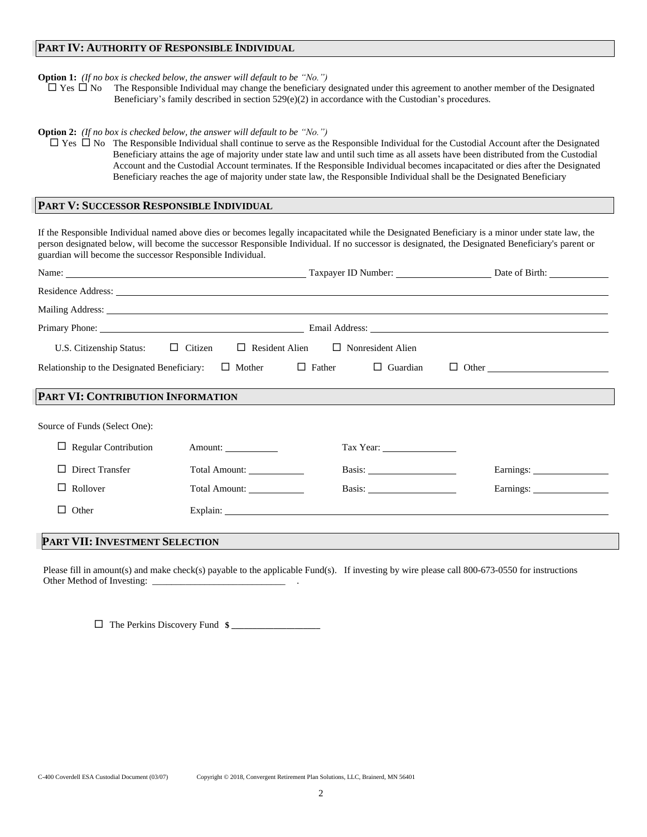## **PART IV: AUTHORITY OF RESPONSIBLE INDIVIDUAL**

#### **Option 1:** *(If no box is checked below, the answer will default to be "No.")*

 $\Box$  Yes  $\Box$  No The Responsible Individual may change the beneficiary designated under this agreement to another member of the Designated Beneficiary's family described in section 529(e)(2) in accordance with the Custodian's procedures.

#### **Option 2:** *(If no box is checked below, the answer will default to be "No.")*

 $\Box$  Yes  $\Box$  No The Responsible Individual shall continue to serve as the Responsible Individual for the Custodial Account after the Designated Beneficiary attains the age of majority under state law and until such time as all assets have been distributed from the Custodial Account and the Custodial Account terminates. If the Responsible Individual becomes incapacitated or dies after the Designated Beneficiary reaches the age of majority under state law, the Responsible Individual shall be the Designated Beneficiary

## **PART V: SUCCESSOR RESPONSIBLE INDIVIDUAL**

If the Responsible Individual named above dies or becomes legally incapacitated while the Designated Beneficiary is a minor under state law, the person designated below, will become the successor Responsible Individual. If no successor is designated, the Designated Beneficiary's parent or guardian will become the successor Responsible Individual.

|                                             |               |                                                |                     | Residence Address: Lawrence Address: Lawrence Address: Lawrence Address: Lawrence Address: Lawrence Address: Lawrence Address: Lawrence Address: Lawrence Address: Lawrence Address: Lawrence Address: Lawrence Address: Lawre |
|---------------------------------------------|---------------|------------------------------------------------|---------------------|--------------------------------------------------------------------------------------------------------------------------------------------------------------------------------------------------------------------------------|
|                                             |               |                                                |                     | Mailing Address: 1988 and 2008 and 2008 and 2008 and 2008 and 2008 and 2008 and 2008 and 2008 and 2008 and 200                                                                                                                 |
|                                             |               |                                                |                     |                                                                                                                                                                                                                                |
| U.S. Citizenship Status: $\Box$ Citizen     |               | $\Box$ Resident Alien $\Box$ Nonresident Alien |                     |                                                                                                                                                                                                                                |
| Relationship to the Designated Beneficiary: | $\Box$ Mother | $\Box$ Father                                  | $\Box$ Guardian     | $\Box$ Other $\Box$                                                                                                                                                                                                            |
| PART VI: CONTRIBUTION INFORMATION           |               |                                                |                     |                                                                                                                                                                                                                                |
| Source of Funds (Select One):               |               |                                                |                     |                                                                                                                                                                                                                                |
| <b>Regular Contribution</b>                 | Amount:       |                                                | Tax Year: 1988 1988 |                                                                                                                                                                                                                                |
| Direct Transfer                             | Total Amount: |                                                |                     |                                                                                                                                                                                                                                |
| Rollover<br>⊔                               | Total Amount: |                                                | Basis:              | Earnings:                                                                                                                                                                                                                      |
| Other<br>П.                                 |               |                                                |                     | Explain:                                                                                                                                                                                                                       |
| <b>PART VII: INVESTMENT SELECTION</b>       |               |                                                |                     |                                                                                                                                                                                                                                |

Please fill in amount(s) and make check(s) payable to the applicable Fund(s). If investing by wire please call 800-673-0550 for instructions Other Method of Investing: \_

 $\Box$  The Perkins Discovery Fund  $\ast$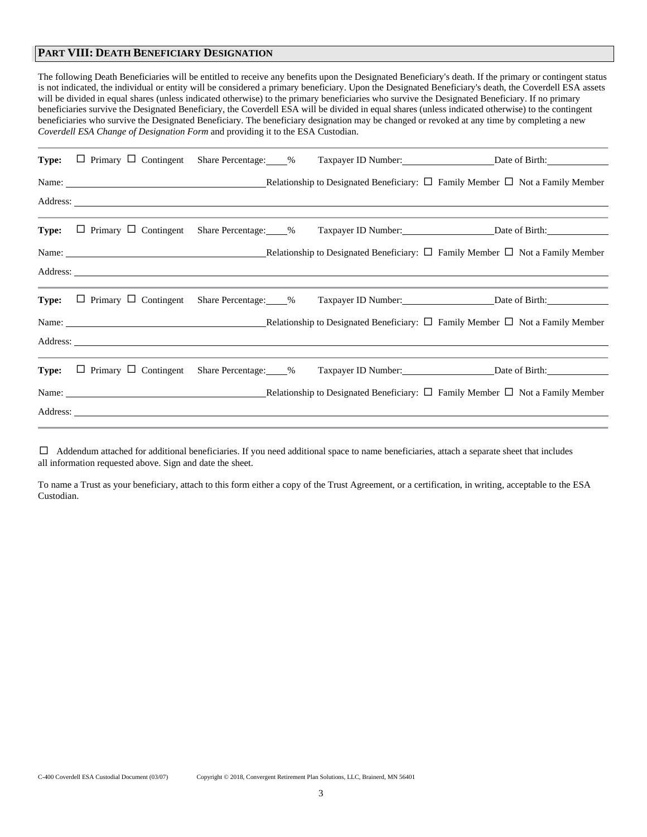# **PART VIII: DEATH BENEFICIARY DESIGNATION**

The following Death Beneficiaries will be entitled to receive any benefits upon the Designated Beneficiary's death. If the primary or contingent status is not indicated, the individual or entity will be considered a primary beneficiary. Upon the Designated Beneficiary's death, the Coverdell ESA assets will be divided in equal shares (unless indicated otherwise) to the primary beneficiaries who survive the Designated Beneficiary. If no primary beneficiaries survive the Designated Beneficiary, the Coverdell ESA will be divided in equal shares (unless indicated otherwise) to the contingent beneficiaries who survive the Designated Beneficiary. The beneficiary designation may be changed or revoked at any time by completing a new *Coverdell ESA Change of Designation Form* and providing it to the ESA Custodian.

|  | <b>Type:</b> $\Box$ Primary $\Box$ Contingent Share Percentage: 6%                                                                                                                         |  | Taxpayer ID Number: Date of Birth:                                                                                                                        |
|--|--------------------------------------------------------------------------------------------------------------------------------------------------------------------------------------------|--|-----------------------------------------------------------------------------------------------------------------------------------------------------------|
|  |                                                                                                                                                                                            |  |                                                                                                                                                           |
|  |                                                                                                                                                                                            |  |                                                                                                                                                           |
|  | <u> 1989 - Jan Samuel Barbara, margaret a shekara ta 1989 - An tsara tsara tsara tsara tsara tsara tsara tsara ts</u><br><b>Type:</b> $\Box$ Primary $\Box$ Contingent Share Percentage: 6 |  | and the contract of the contract of the contract of the contract of the contract of the contract of the contract of<br>Taxpayer ID Number: Date of Birth: |
|  |                                                                                                                                                                                            |  | Name: $\Box$ Not a Family Member $\Box$ Not a Family Member $\Box$ Not a Family Member $\Box$ Not a Family Member                                         |
|  |                                                                                                                                                                                            |  |                                                                                                                                                           |
|  |                                                                                                                                                                                            |  |                                                                                                                                                           |
|  |                                                                                                                                                                                            |  | Type: □ Primary □ Contingent Share Percentage: 6 Taxpayer ID Number: Date of Birth: Date of Birth:                                                        |
|  |                                                                                                                                                                                            |  | Name: $\Box$ Not a Family Member $\Box$ Not a Family Member $\Box$ Not a Family Member                                                                    |
|  |                                                                                                                                                                                            |  |                                                                                                                                                           |
|  | <b>Type:</b> $\Box$ Primary $\Box$ Contingent Share Percentage: 6                                                                                                                          |  | Taxpayer ID Number: Date of Birth:                                                                                                                        |
|  |                                                                                                                                                                                            |  |                                                                                                                                                           |
|  |                                                                                                                                                                                            |  |                                                                                                                                                           |

 $\Box$  Addendum attached for additional beneficiaries. If you need additional space to name beneficiaries, attach a separate sheet that includes all information requested above. Sign and date the sheet.

To name a Trust as your beneficiary, attach to this form either a copy of the Trust Agreement, or a certification, in writing, acceptable to the ESA Custodian.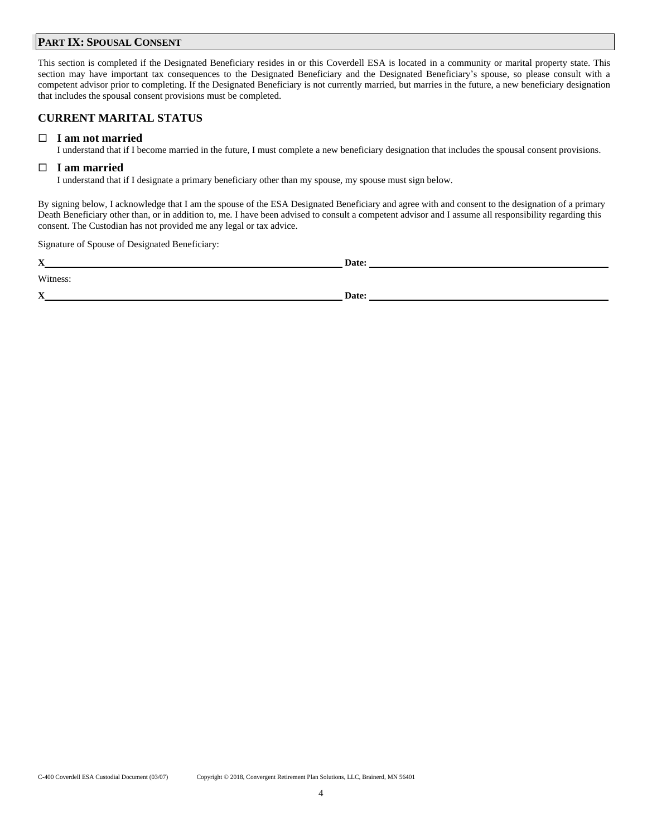# **PART IX: SPOUSAL CONSENT**

This section is completed if the Designated Beneficiary resides in or this Coverdell ESA is located in a community or marital property state. This section may have important tax consequences to the Designated Beneficiary and the Designated Beneficiary's spouse, so please consult with a competent advisor prior to completing. If the Designated Beneficiary is not currently married, but marries in the future, a new beneficiary designation that includes the spousal consent provisions must be completed.

# **CURRENT MARITAL STATUS**

## **I am not married**

I understand that if I become married in the future, I must complete a new beneficiary designation that includes the spousal consent provisions.

# **I am married**

I understand that if I designate a primary beneficiary other than my spouse, my spouse must sign below.

By signing below, I acknowledge that I am the spouse of the ESA Designated Beneficiary and agree with and consent to the designation of a primary Death Beneficiary other than, or in addition to, me. I have been advised to consult a competent advisor and I assume all responsibility regarding this consent. The Custodian has not provided me any legal or tax advice.

Signature of Spouse of Designated Beneficiary:

| $\mathbf{v}$<br>$\boldsymbol{\Lambda}$ | Date: |
|----------------------------------------|-------|
| Witness:                               |       |
| $\mathbf X$                            | Date: |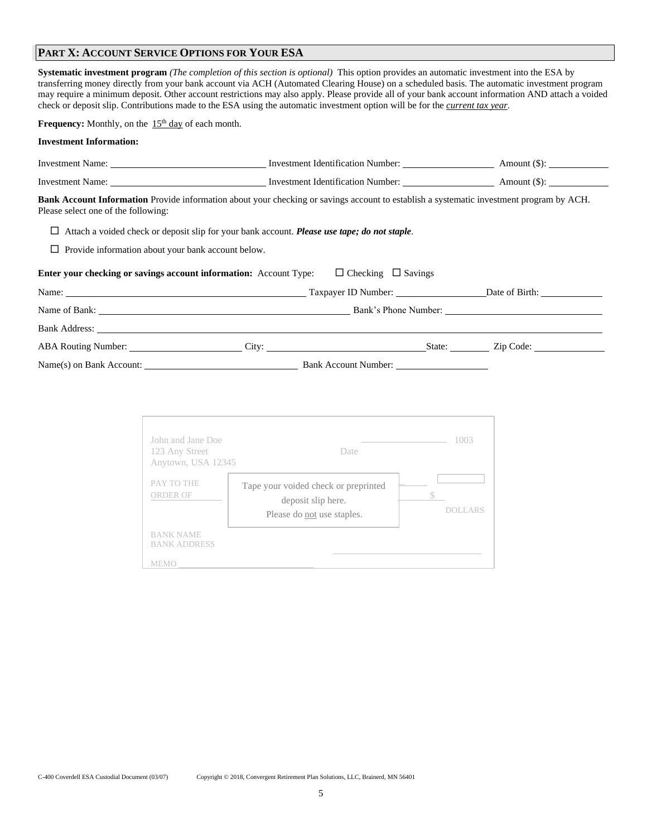# **PART X: ACCOUNT SERVICE OPTIONS FOR YOUR ESA**

**Systematic investment program** *(The completion of this section is optional)* This option provides an automatic investment into the ESA by transferring money directly from your bank account via ACH (Automated Clearing House) on a scheduled basis. The automatic investment program may require a minimum deposit. Other account restrictions may also apply. Please provide all of your bank account information AND attach a voided check or deposit slip. Contributions made to the ESA using the automatic investment option will be for the *current tax year*.

**Frequency:** Monthly, on the  $15<sup>th</sup>$  day of each month.

### **Investment Information:**

| Investment Name: <u>Contract Communication</u> Contract Identification Number: Amount (\$):                                                                                            |                                |  |
|----------------------------------------------------------------------------------------------------------------------------------------------------------------------------------------|--------------------------------|--|
|                                                                                                                                                                                        |                                |  |
| <b>Bank Account Information</b> Provide information about your checking or savings account to establish a systematic investment program by ACH.<br>Please select one of the following: |                                |  |
| Attach a voided check or deposit slip for your bank account. Please use tape; do not staple.<br>⊔                                                                                      |                                |  |
| $\Box$ Provide information about your bank account below.                                                                                                                              |                                |  |
| <b>Enter your checking or savings account information:</b> Account Type:                                                                                                               | $\Box$ Checking $\Box$ Savings |  |
|                                                                                                                                                                                        |                                |  |
|                                                                                                                                                                                        |                                |  |
|                                                                                                                                                                                        |                                |  |
|                                                                                                                                                                                        |                                |  |
| Name(s) on Bank Account:                                                                                                                                                               | Bank Account Number:           |  |

| John and Jane Doe<br>123 Any Street<br>Anytown, USA 12345 | Date                                                                                     | 1003           |
|-----------------------------------------------------------|------------------------------------------------------------------------------------------|----------------|
| PAY TO THE<br>ORDER OF                                    | Tape your voided check or preprinted<br>deposit slip here.<br>Please do not use staples. | <b>DOLLARS</b> |
| <b>BANK NAME</b><br><b>BANK ADDRESS</b>                   |                                                                                          |                |
| MEMO                                                      |                                                                                          |                |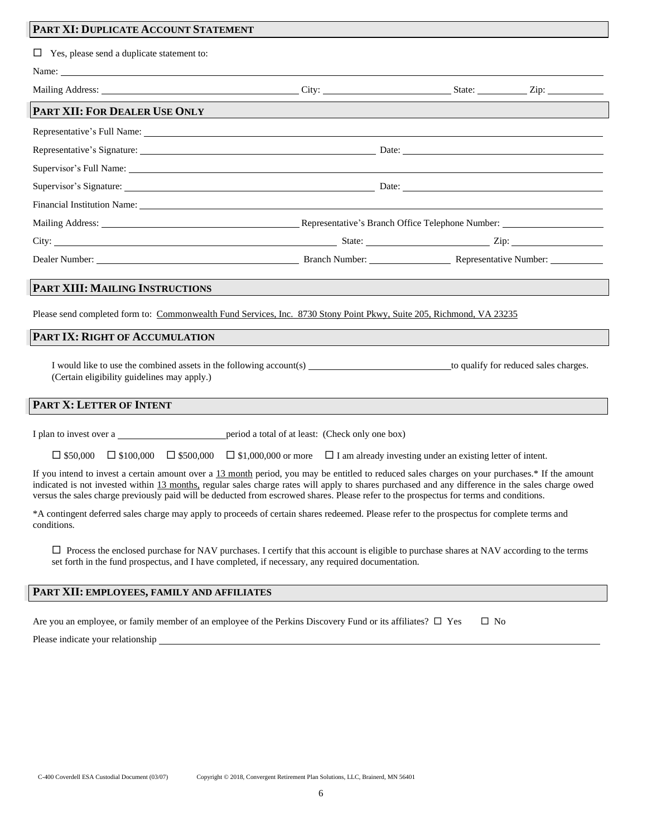# **PART XI: DUPLICATE ACCOUNT STATEMENT**

| $\Box$ Yes, please send a duplicate statement to:                                                                                                                                                                                                                                                                                                                                                                                               |                                                                                                                                                                                                                                                       |  |
|-------------------------------------------------------------------------------------------------------------------------------------------------------------------------------------------------------------------------------------------------------------------------------------------------------------------------------------------------------------------------------------------------------------------------------------------------|-------------------------------------------------------------------------------------------------------------------------------------------------------------------------------------------------------------------------------------------------------|--|
|                                                                                                                                                                                                                                                                                                                                                                                                                                                 |                                                                                                                                                                                                                                                       |  |
|                                                                                                                                                                                                                                                                                                                                                                                                                                                 |                                                                                                                                                                                                                                                       |  |
| PART XII: FOR DEALER USE ONLY                                                                                                                                                                                                                                                                                                                                                                                                                   |                                                                                                                                                                                                                                                       |  |
|                                                                                                                                                                                                                                                                                                                                                                                                                                                 |                                                                                                                                                                                                                                                       |  |
|                                                                                                                                                                                                                                                                                                                                                                                                                                                 |                                                                                                                                                                                                                                                       |  |
| Supervisor's Full Name: Supervisory Supervisory Supervisory Supervisory Supervisory Supervisory Supervisory Supervisory Supervisory Supervisory Supervisory Supervisory Supervisory Supervisory Supervisory Supervisory Superv                                                                                                                                                                                                                  |                                                                                                                                                                                                                                                       |  |
|                                                                                                                                                                                                                                                                                                                                                                                                                                                 |                                                                                                                                                                                                                                                       |  |
| Financial Institution Name: 1986. The Contract of the Contract of the Contract of the Contract of the Contract of the Contract of the Contract of the Contract of the Contract of the Contract of the Contract of the Contract                                                                                                                                                                                                                  |                                                                                                                                                                                                                                                       |  |
|                                                                                                                                                                                                                                                                                                                                                                                                                                                 |                                                                                                                                                                                                                                                       |  |
|                                                                                                                                                                                                                                                                                                                                                                                                                                                 |                                                                                                                                                                                                                                                       |  |
| Dealer Number: Number: Number: Number: Number: Number: Number: Number: Number: Number: Number: Number: Number: Number: Number: Number: Number: Number: Number: Number: Number: Number: Number: Number: Number: Number: Number:                                                                                                                                                                                                                  |                                                                                                                                                                                                                                                       |  |
| PART XIII: MAILING INSTRUCTIONS<br>Please send completed form to: Commonwealth Fund Services, Inc. 8730 Stony Point Pkwy, Suite 205, Richmond, VA 23235                                                                                                                                                                                                                                                                                         | and the company of the company of the company                                                                                                                                                                                                         |  |
| PART IX: RIGHT OF ACCUMULATION                                                                                                                                                                                                                                                                                                                                                                                                                  |                                                                                                                                                                                                                                                       |  |
| (Certain eligibility guidelines may apply.)                                                                                                                                                                                                                                                                                                                                                                                                     |                                                                                                                                                                                                                                                       |  |
| PART X: LETTER OF INTENT                                                                                                                                                                                                                                                                                                                                                                                                                        |                                                                                                                                                                                                                                                       |  |
| I plan to invest over a series being period a total of at least: (Check only one box)                                                                                                                                                                                                                                                                                                                                                           |                                                                                                                                                                                                                                                       |  |
|                                                                                                                                                                                                                                                                                                                                                                                                                                                 | $\Box$ \$50,000 $\Box$ \$100,000 $\Box$ \$500,000 $\Box$ \$1,000,000 or more $\Box$ I am already investing under an existing letter of intent.                                                                                                        |  |
| If you intend to invest a certain amount over a 13 month period, you may be entitled to reduced sales charges on your purchases.* If the amount<br>indicated is not invested within 13 months, regular sales charge rates will apply to shares purchased and any difference in the sales charge owed<br>versus the sales charge previously paid will be deducted from escrowed shares. Please refer to the prospectus for terms and conditions. |                                                                                                                                                                                                                                                       |  |
| *A contingent deferred sales charge may apply to proceeds of certain shares redeemed. Please refer to the prospectus for complete terms and<br>conditions.                                                                                                                                                                                                                                                                                      |                                                                                                                                                                                                                                                       |  |
|                                                                                                                                                                                                                                                                                                                                                                                                                                                 | $\Box$ Process the enclosed purchase for NAV purchases. I certify that this account is eligible to purchase shares at NAV according to the terms<br>set forth in the fund prospectus, and I have completed, if necessary, any required documentation. |  |

# **PART XII: EMPLOYEES, FAMILY AND AFFILIATES**

| Are you an employee, or family member of an employee of the Perkins Discovery Fund or its affiliates? $\Box$ Yes $\Box$ No |  |
|----------------------------------------------------------------------------------------------------------------------------|--|
|----------------------------------------------------------------------------------------------------------------------------|--|

Please indicate your relationship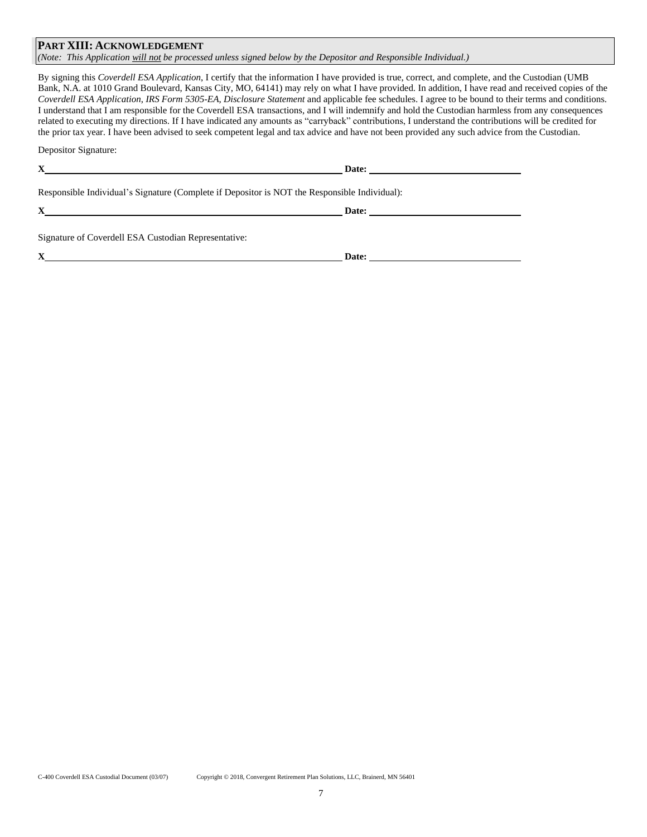## **PART XIII: ACKNOWLEDGEMENT**

*(Note: This Application will not be processed unless signed below by the Depositor and Responsible Individual.)*

By signing this *Coverdell ESA Application*, I certify that the information I have provided is true, correct, and complete, and the Custodian (UMB Bank, N.A. at 1010 Grand Boulevard, Kansas City, MO, 64141) may rely on what I have provided. In addition, I have read and received copies of the *Coverdell ESA Application*, *IRS Form 5305-EA*, *Disclosure Statement* and applicable fee schedules. I agree to be bound to their terms and conditions. I understand that I am responsible for the Coverdell ESA transactions, and I will indemnify and hold the Custodian harmless from any consequences related to executing my directions. If I have indicated any amounts as "carryback" contributions, I understand the contributions will be credited for the prior tax year. I have been advised to seek competent legal and tax advice and have not been provided any such advice from the Custodian.

Depositor Signature:

| Responsible Individual's Signature (Complete if Depositor is NOT the Responsible Individual):                                                                                                                                 |       |  |
|-------------------------------------------------------------------------------------------------------------------------------------------------------------------------------------------------------------------------------|-------|--|
| $X$ and $X$ and $X$ and $X$ and $X$ and $X$ and $X$ and $X$ and $X$ and $X$ and $X$ and $X$ and $X$ and $X$ and $X$ and $X$ and $X$ and $X$ and $X$ and $X$ and $X$ and $X$ and $X$ and $X$ and $X$ and $X$ and $X$ and $X$ a |       |  |
| Signature of Coverdell ESA Custodian Representative:                                                                                                                                                                          |       |  |
|                                                                                                                                                                                                                               | Date: |  |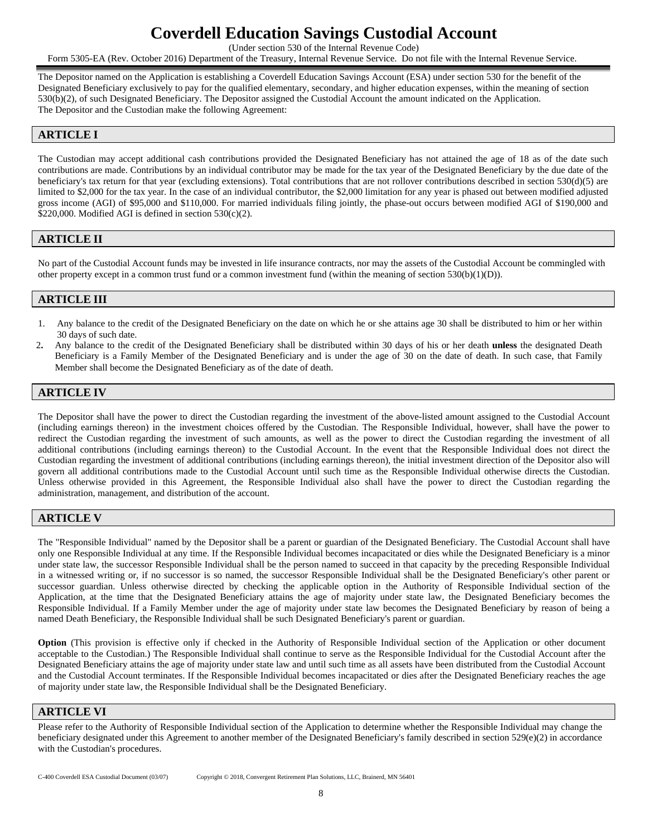# **Coverdell Education Savings Custodial Account**

(Under section 530 of the Internal Revenue Code)

Form 5305-EA (Rev. October 2016) Department of the Treasury, Internal Revenue Service. Do not file with the Internal Revenue Service.

The Depositor named on the Application is establishing a Coverdell Education Savings Account (ESA) under section 530 for the benefit of the Designated Beneficiary exclusively to pay for the qualified elementary, secondary, and higher education expenses, within the meaning of section 530(b)(2), of such Designated Beneficiary. The Depositor assigned the Custodial Account the amount indicated on the Application. The Depositor and the Custodian make the following Agreement:

# **ARTICLE I**

The Custodian may accept additional cash contributions provided the Designated Beneficiary has not attained the age of 18 as of the date such contributions are made. Contributions by an individual contributor may be made for the tax year of the Designated Beneficiary by the due date of the beneficiary's tax return for that year (excluding extensions). Total contributions that are not rollover contributions described in section 530(d)(5) are limited to \$2,000 for the tax year. In the case of an individual contributor, the \$2,000 limitation for any year is phased out between modified adjusted gross income (AGI) of \$95,000 and \$110,000. For married individuals filing jointly, the phase-out occurs between modified AGI of \$190,000 and \$220,000. Modified AGI is defined in section  $530(c)(2)$ .

# **ARTICLE II**

No part of the Custodial Account funds may be invested in life insurance contracts, nor may the assets of the Custodial Account be commingled with other property except in a common trust fund or a common investment fund (within the meaning of section 530(b)(1)(D)).

# **ARTICLE III**

- 1. Any balance to the credit of the Designated Beneficiary on the date on which he or she attains age 30 shall be distributed to him or her within 30 days of such date.
- 2**.** Any balance to the credit of the Designated Beneficiary shall be distributed within 30 days of his or her death **unless** the designated Death Beneficiary is a Family Member of the Designated Beneficiary and is under the age of 30 on the date of death. In such case, that Family Member shall become the Designated Beneficiary as of the date of death.

# **ARTICLE IV**

The Depositor shall have the power to direct the Custodian regarding the investment of the above-listed amount assigned to the Custodial Account (including earnings thereon) in the investment choices offered by the Custodian. The Responsible Individual, however, shall have the power to redirect the Custodian regarding the investment of such amounts, as well as the power to direct the Custodian regarding the investment of all additional contributions (including earnings thereon) to the Custodial Account. In the event that the Responsible Individual does not direct the Custodian regarding the investment of additional contributions (including earnings thereon), the initial investment direction of the Depositor also will govern all additional contributions made to the Custodial Account until such time as the Responsible Individual otherwise directs the Custodian. Unless otherwise provided in this Agreement, the Responsible Individual also shall have the power to direct the Custodian regarding the administration, management, and distribution of the account.

# **ARTICLE V**

The "Responsible Individual" named by the Depositor shall be a parent or guardian of the Designated Beneficiary. The Custodial Account shall have only one Responsible Individual at any time. If the Responsible Individual becomes incapacitated or dies while the Designated Beneficiary is a minor under state law, the successor Responsible Individual shall be the person named to succeed in that capacity by the preceding Responsible Individual in a witnessed writing or, if no successor is so named, the successor Responsible Individual shall be the Designated Beneficiary's other parent or successor guardian. Unless otherwise directed by checking the applicable option in the Authority of Responsible Individual section of the Application, at the time that the Designated Beneficiary attains the age of majority under state law, the Designated Beneficiary becomes the Responsible Individual. If a Family Member under the age of majority under state law becomes the Designated Beneficiary by reason of being a named Death Beneficiary, the Responsible Individual shall be such Designated Beneficiary's parent or guardian.

**Option** (This provision is effective only if checked in the Authority of Responsible Individual section of the Application or other document acceptable to the Custodian.) The Responsible Individual shall continue to serve as the Responsible Individual for the Custodial Account after the Designated Beneficiary attains the age of majority under state law and until such time as all assets have been distributed from the Custodial Account and the Custodial Account terminates. If the Responsible Individual becomes incapacitated or dies after the Designated Beneficiary reaches the age of majority under state law, the Responsible Individual shall be the Designated Beneficiary.

## **ARTICLE VI**

Please refer to the Authority of Responsible Individual section of the Application to determine whether the Responsible Individual may change the beneficiary designated under this Agreement to another member of the Designated Beneficiary's family described in section 529(e)(2) in accordance with the Custodian's procedures.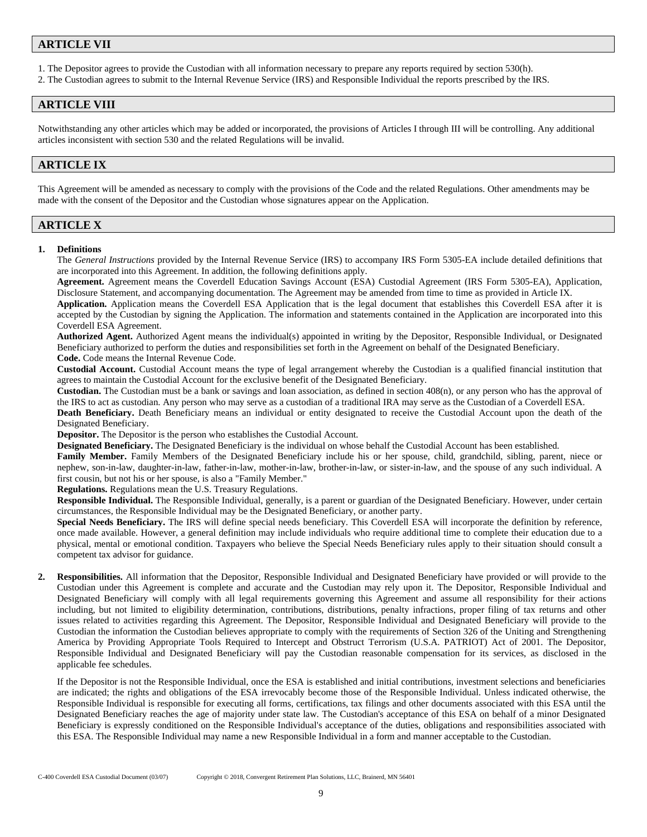# **ARTICLE VII**

1. The Depositor agrees to provide the Custodian with all information necessary to prepare any reports required by section 530(h).

2. The Custodian agrees to submit to the Internal Revenue Service (IRS) and Responsible Individual the reports prescribed by the IRS.

# **ARTICLE VIII**

Notwithstanding any other articles which may be added or incorporated, the provisions of Articles I through III will be controlling. Any additional articles inconsistent with section 530 and the related Regulations will be invalid.

# **ARTICLE IX**

This Agreement will be amended as necessary to comply with the provisions of the Code and the related Regulations. Other amendments may be made with the consent of the Depositor and the Custodian whose signatures appear on the Application.

# **ARTICLE X**

#### **1. Definitions**

The *General Instructions* provided by the Internal Revenue Service (IRS) to accompany IRS Form 5305-EA include detailed definitions that are incorporated into this Agreement. In addition, the following definitions apply.

**Agreement.** Agreement means the Coverdell Education Savings Account (ESA) Custodial Agreement (IRS Form 5305-EA), Application, Disclosure Statement, and accompanying documentation. The Agreement may be amended from time to time as provided in Article IX.

**Application.** Application means the Coverdell ESA Application that is the legal document that establishes this Coverdell ESA after it is accepted by the Custodian by signing the Application. The information and statements contained in the Application are incorporated into this Coverdell ESA Agreement.

**Authorized Agent.** Authorized Agent means the individual(s) appointed in writing by the Depositor, Responsible Individual, or Designated Beneficiary authorized to perform the duties and responsibilities set forth in the Agreement on behalf of the Designated Beneficiary. **Code.** Code means the Internal Revenue Code.

**Custodial Account.** Custodial Account means the type of legal arrangement whereby the Custodian is a qualified financial institution that agrees to maintain the Custodial Account for the exclusive benefit of the Designated Beneficiary.

**Custodian.** The Custodian must be a bank or savings and loan association, as defined in section 408(n), or any person who has the approval of the IRS to act as custodian. Any person who may serve as a custodian of a traditional IRA may serve as the Custodian of a Coverdell ESA.

**Death Beneficiary.** Death Beneficiary means an individual or entity designated to receive the Custodial Account upon the death of the Designated Beneficiary.

**Depositor.** The Depositor is the person who establishes the Custodial Account.

**Designated Beneficiary.** The Designated Beneficiary is the individual on whose behalf the Custodial Account has been established.

**Family Member.** Family Members of the Designated Beneficiary include his or her spouse, child, grandchild, sibling, parent, niece or nephew, son-in-law, daughter-in-law, father-in-law, mother-in-law, brother-in-law, or sister-in-law, and the spouse of any such individual. A first cousin, but not his or her spouse, is also a "Family Member."

**Regulations.** Regulations mean the U.S. Treasury Regulations.

**Responsible Individual.** The Responsible Individual, generally, is a parent or guardian of the Designated Beneficiary. However, under certain circumstances, the Responsible Individual may be the Designated Beneficiary, or another party.

**Special Needs Beneficiary.** The IRS will define special needs beneficiary. This Coverdell ESA will incorporate the definition by reference, once made available. However, a general definition may include individuals who require additional time to complete their education due to a physical, mental or emotional condition. Taxpayers who believe the Special Needs Beneficiary rules apply to their situation should consult a competent tax advisor for guidance.

**2. Responsibilities.** All information that the Depositor, Responsible Individual and Designated Beneficiary have provided or will provide to the Custodian under this Agreement is complete and accurate and the Custodian may rely upon it. The Depositor, Responsible Individual and Designated Beneficiary will comply with all legal requirements governing this Agreement and assume all responsibility for their actions including, but not limited to eligibility determination, contributions, distributions, penalty infractions, proper filing of tax returns and other issues related to activities regarding this Agreement. The Depositor, Responsible Individual and Designated Beneficiary will provide to the Custodian the information the Custodian believes appropriate to comply with the requirements of Section 326 of the Uniting and Strengthening America by Providing Appropriate Tools Required to Intercept and Obstruct Terrorism (U.S.A. PATRIOT) Act of 2001. The Depositor, Responsible Individual and Designated Beneficiary will pay the Custodian reasonable compensation for its services, as disclosed in the applicable fee schedules.

If the Depositor is not the Responsible Individual, once the ESA is established and initial contributions, investment selections and beneficiaries are indicated; the rights and obligations of the ESA irrevocably become those of the Responsible Individual. Unless indicated otherwise, the Responsible Individual is responsible for executing all forms, certifications, tax filings and other documents associated with this ESA until the Designated Beneficiary reaches the age of majority under state law. The Custodian's acceptance of this ESA on behalf of a minor Designated Beneficiary is expressly conditioned on the Responsible Individual's acceptance of the duties, obligations and responsibilities associated with this ESA. The Responsible Individual may name a new Responsible Individual in a form and manner acceptable to the Custodian.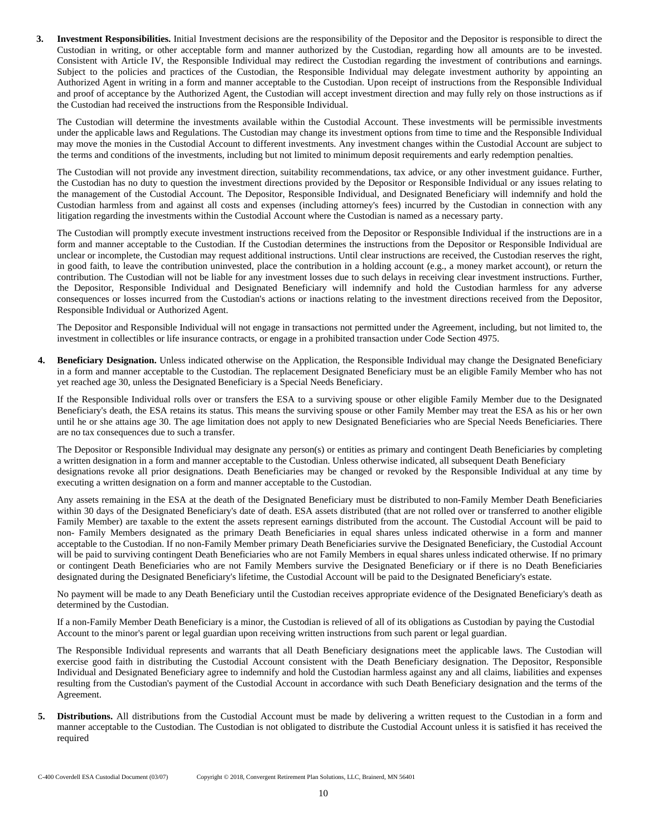**3. Investment Responsibilities.** Initial Investment decisions are the responsibility of the Depositor and the Depositor is responsible to direct the Custodian in writing, or other acceptable form and manner authorized by the Custodian, regarding how all amounts are to be invested. Consistent with Article IV, the Responsible Individual may redirect the Custodian regarding the investment of contributions and earnings. Subject to the policies and practices of the Custodian, the Responsible Individual may delegate investment authority by appointing an Authorized Agent in writing in a form and manner acceptable to the Custodian. Upon receipt of instructions from the Responsible Individual and proof of acceptance by the Authorized Agent, the Custodian will accept investment direction and may fully rely on those instructions as if the Custodian had received the instructions from the Responsible Individual.

The Custodian will determine the investments available within the Custodial Account. These investments will be permissible investments under the applicable laws and Regulations. The Custodian may change its investment options from time to time and the Responsible Individual may move the monies in the Custodial Account to different investments. Any investment changes within the Custodial Account are subject to the terms and conditions of the investments, including but not limited to minimum deposit requirements and early redemption penalties.

The Custodian will not provide any investment direction, suitability recommendations, tax advice, or any other investment guidance. Further, the Custodian has no duty to question the investment directions provided by the Depositor or Responsible Individual or any issues relating to the management of the Custodial Account. The Depositor, Responsible Individual, and Designated Beneficiary will indemnify and hold the Custodian harmless from and against all costs and expenses (including attorney's fees) incurred by the Custodian in connection with any litigation regarding the investments within the Custodial Account where the Custodian is named as a necessary party.

The Custodian will promptly execute investment instructions received from the Depositor or Responsible Individual if the instructions are in a form and manner acceptable to the Custodian. If the Custodian determines the instructions from the Depositor or Responsible Individual are unclear or incomplete, the Custodian may request additional instructions. Until clear instructions are received, the Custodian reserves the right, in good faith, to leave the contribution uninvested, place the contribution in a holding account (e.g., a money market account), or return the contribution. The Custodian will not be liable for any investment losses due to such delays in receiving clear investment instructions. Further, the Depositor, Responsible Individual and Designated Beneficiary will indemnify and hold the Custodian harmless for any adverse consequences or losses incurred from the Custodian's actions or inactions relating to the investment directions received from the Depositor, Responsible Individual or Authorized Agent.

The Depositor and Responsible Individual will not engage in transactions not permitted under the Agreement, including, but not limited to, the investment in collectibles or life insurance contracts, or engage in a prohibited transaction under Code Section 4975.

**4. Beneficiary Designation.** Unless indicated otherwise on the Application, the Responsible Individual may change the Designated Beneficiary in a form and manner acceptable to the Custodian. The replacement Designated Beneficiary must be an eligible Family Member who has not yet reached age 30, unless the Designated Beneficiary is a Special Needs Beneficiary.

If the Responsible Individual rolls over or transfers the ESA to a surviving spouse or other eligible Family Member due to the Designated Beneficiary's death, the ESA retains its status. This means the surviving spouse or other Family Member may treat the ESA as his or her own until he or she attains age 30. The age limitation does not apply to new Designated Beneficiaries who are Special Needs Beneficiaries. There are no tax consequences due to such a transfer.

The Depositor or Responsible Individual may designate any person(s) or entities as primary and contingent Death Beneficiaries by completing a written designation in a form and manner acceptable to the Custodian. Unless otherwise indicated, all subsequent Death Beneficiary designations revoke all prior designations. Death Beneficiaries may be changed or revoked by the Responsible Individual at any time by executing a written designation on a form and manner acceptable to the Custodian.

Any assets remaining in the ESA at the death of the Designated Beneficiary must be distributed to non-Family Member Death Beneficiaries within 30 days of the Designated Beneficiary's date of death. ESA assets distributed (that are not rolled over or transferred to another eligible Family Member) are taxable to the extent the assets represent earnings distributed from the account. The Custodial Account will be paid to non- Family Members designated as the primary Death Beneficiaries in equal shares unless indicated otherwise in a form and manner acceptable to the Custodian. If no non-Family Member primary Death Beneficiaries survive the Designated Beneficiary, the Custodial Account will be paid to surviving contingent Death Beneficiaries who are not Family Members in equal shares unless indicated otherwise. If no primary or contingent Death Beneficiaries who are not Family Members survive the Designated Beneficiary or if there is no Death Beneficiaries designated during the Designated Beneficiary's lifetime, the Custodial Account will be paid to the Designated Beneficiary's estate.

No payment will be made to any Death Beneficiary until the Custodian receives appropriate evidence of the Designated Beneficiary's death as determined by the Custodian.

If a non-Family Member Death Beneficiary is a minor, the Custodian is relieved of all of its obligations as Custodian by paying the Custodial Account to the minor's parent or legal guardian upon receiving written instructions from such parent or legal guardian.

The Responsible Individual represents and warrants that all Death Beneficiary designations meet the applicable laws. The Custodian will exercise good faith in distributing the Custodial Account consistent with the Death Beneficiary designation. The Depositor, Responsible Individual and Designated Beneficiary agree to indemnify and hold the Custodian harmless against any and all claims, liabilities and expenses resulting from the Custodian's payment of the Custodial Account in accordance with such Death Beneficiary designation and the terms of the Agreement.

**5. Distributions.** All distributions from the Custodial Account must be made by delivering a written request to the Custodian in a form and manner acceptable to the Custodian. The Custodian is not obligated to distribute the Custodial Account unless it is satisfied it has received the required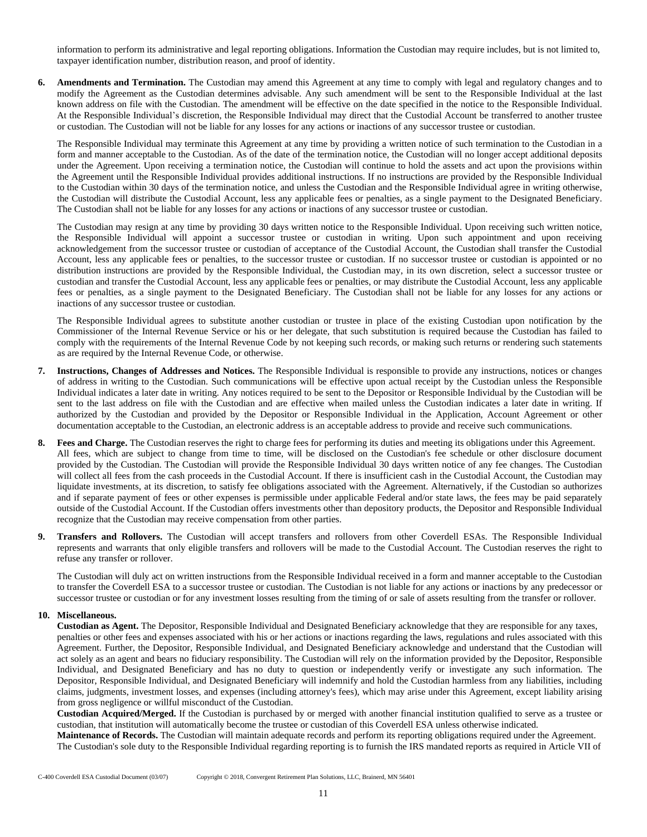information to perform its administrative and legal reporting obligations. Information the Custodian may require includes, but is not limited to, taxpayer identification number, distribution reason, and proof of identity.

**6. Amendments and Termination.** The Custodian may amend this Agreement at any time to comply with legal and regulatory changes and to modify the Agreement as the Custodian determines advisable. Any such amendment will be sent to the Responsible Individual at the last known address on file with the Custodian. The amendment will be effective on the date specified in the notice to the Responsible Individual. At the Responsible Individual's discretion, the Responsible Individual may direct that the Custodial Account be transferred to another trustee or custodian. The Custodian will not be liable for any losses for any actions or inactions of any successor trustee or custodian.

The Responsible Individual may terminate this Agreement at any time by providing a written notice of such termination to the Custodian in a form and manner acceptable to the Custodian. As of the date of the termination notice, the Custodian will no longer accept additional deposits under the Agreement. Upon receiving a termination notice, the Custodian will continue to hold the assets and act upon the provisions within the Agreement until the Responsible Individual provides additional instructions. If no instructions are provided by the Responsible Individual to the Custodian within 30 days of the termination notice, and unless the Custodian and the Responsible Individual agree in writing otherwise, the Custodian will distribute the Custodial Account, less any applicable fees or penalties, as a single payment to the Designated Beneficiary. The Custodian shall not be liable for any losses for any actions or inactions of any successor trustee or custodian.

The Custodian may resign at any time by providing 30 days written notice to the Responsible Individual. Upon receiving such written notice, the Responsible Individual will appoint a successor trustee or custodian in writing. Upon such appointment and upon receiving acknowledgement from the successor trustee or custodian of acceptance of the Custodial Account, the Custodian shall transfer the Custodial Account, less any applicable fees or penalties, to the successor trustee or custodian. If no successor trustee or custodian is appointed or no distribution instructions are provided by the Responsible Individual, the Custodian may, in its own discretion, select a successor trustee or custodian and transfer the Custodial Account, less any applicable fees or penalties, or may distribute the Custodial Account, less any applicable fees or penalties, as a single payment to the Designated Beneficiary. The Custodian shall not be liable for any losses for any actions or inactions of any successor trustee or custodian.

The Responsible Individual agrees to substitute another custodian or trustee in place of the existing Custodian upon notification by the Commissioner of the Internal Revenue Service or his or her delegate, that such substitution is required because the Custodian has failed to comply with the requirements of the Internal Revenue Code by not keeping such records, or making such returns or rendering such statements as are required by the Internal Revenue Code, or otherwise.

- **7. Instructions, Changes of Addresses and Notices.** The Responsible Individual is responsible to provide any instructions, notices or changes of address in writing to the Custodian. Such communications will be effective upon actual receipt by the Custodian unless the Responsible Individual indicates a later date in writing. Any notices required to be sent to the Depositor or Responsible Individual by the Custodian will be sent to the last address on file with the Custodian and are effective when mailed unless the Custodian indicates a later date in writing. If authorized by the Custodian and provided by the Depositor or Responsible Individual in the Application, Account Agreement or other documentation acceptable to the Custodian, an electronic address is an acceptable address to provide and receive such communications.
- **8. Fees and Charge.** The Custodian reserves the right to charge fees for performing its duties and meeting its obligations under this Agreement. All fees, which are subject to change from time to time, will be disclosed on the Custodian's fee schedule or other disclosure document provided by the Custodian. The Custodian will provide the Responsible Individual 30 days written notice of any fee changes. The Custodian will collect all fees from the cash proceeds in the Custodial Account. If there is insufficient cash in the Custodial Account, the Custodian may liquidate investments, at its discretion, to satisfy fee obligations associated with the Agreement. Alternatively, if the Custodian so authorizes and if separate payment of fees or other expenses is permissible under applicable Federal and/or state laws, the fees may be paid separately outside of the Custodial Account. If the Custodian offers investments other than depository products, the Depositor and Responsible Individual recognize that the Custodian may receive compensation from other parties.
- **9. Transfers and Rollovers.** The Custodian will accept transfers and rollovers from other Coverdell ESAs. The Responsible Individual represents and warrants that only eligible transfers and rollovers will be made to the Custodial Account. The Custodian reserves the right to refuse any transfer or rollover.

The Custodian will duly act on written instructions from the Responsible Individual received in a form and manner acceptable to the Custodian to transfer the Coverdell ESA to a successor trustee or custodian. The Custodian is not liable for any actions or inactions by any predecessor or successor trustee or custodian or for any investment losses resulting from the timing of or sale of assets resulting from the transfer or rollover.

#### **10. Miscellaneous.**

**Custodian as Agent.** The Depositor, Responsible Individual and Designated Beneficiary acknowledge that they are responsible for any taxes, penalties or other fees and expenses associated with his or her actions or inactions regarding the laws, regulations and rules associated with this Agreement. Further, the Depositor, Responsible Individual, and Designated Beneficiary acknowledge and understand that the Custodian will act solely as an agent and bears no fiduciary responsibility. The Custodian will rely on the information provided by the Depositor, Responsible Individual, and Designated Beneficiary and has no duty to question or independently verify or investigate any such information. The Depositor, Responsible Individual, and Designated Beneficiary will indemnify and hold the Custodian harmless from any liabilities, including claims, judgments, investment losses, and expenses (including attorney's fees), which may arise under this Agreement, except liability arising from gross negligence or willful misconduct of the Custodian.

**Custodian Acquired/Merged.** If the Custodian is purchased by or merged with another financial institution qualified to serve as a trustee or custodian, that institution will automatically become the trustee or custodian of this Coverdell ESA unless otherwise indicated.

**Maintenance of Records.** The Custodian will maintain adequate records and perform its reporting obligations required under the Agreement. The Custodian's sole duty to the Responsible Individual regarding reporting is to furnish the IRS mandated reports as required in Article VII of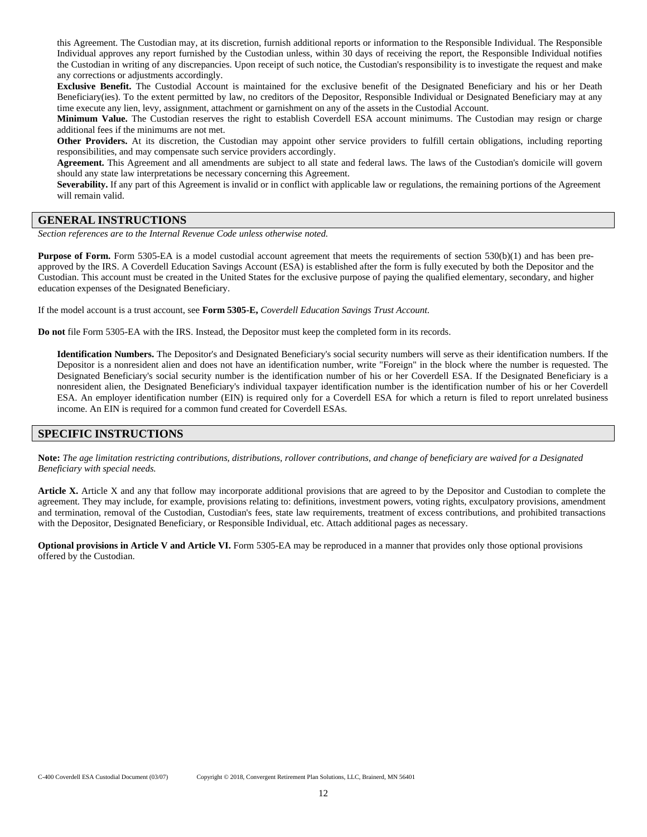this Agreement. The Custodian may, at its discretion, furnish additional reports or information to the Responsible Individual. The Responsible Individual approves any report furnished by the Custodian unless, within 30 days of receiving the report, the Responsible Individual notifies the Custodian in writing of any discrepancies. Upon receipt of such notice, the Custodian's responsibility is to investigate the request and make any corrections or adjustments accordingly.

**Exclusive Benefit.** The Custodial Account is maintained for the exclusive benefit of the Designated Beneficiary and his or her Death Beneficiary(ies). To the extent permitted by law, no creditors of the Depositor, Responsible Individual or Designated Beneficiary may at any time execute any lien, levy, assignment, attachment or garnishment on any of the assets in the Custodial Account.

**Minimum Value.** The Custodian reserves the right to establish Coverdell ESA account minimums. The Custodian may resign or charge additional fees if the minimums are not met.

**Other Providers.** At its discretion, the Custodian may appoint other service providers to fulfill certain obligations, including reporting responsibilities, and may compensate such service providers accordingly.

**Agreement.** This Agreement and all amendments are subject to all state and federal laws. The laws of the Custodian's domicile will govern should any state law interpretations be necessary concerning this Agreement.

**Severability.** If any part of this Agreement is invalid or in conflict with applicable law or regulations, the remaining portions of the Agreement will remain valid.

# **GENERAL INSTRUCTIONS**

*Section references are to the Internal Revenue Code unless otherwise noted.*

**Purpose of Form.** Form 5305-EA is a model custodial account agreement that meets the requirements of section 530(b)(1) and has been preapproved by the IRS. A Coverdell Education Savings Account (ESA) is established after the form is fully executed by both the Depositor and the Custodian. This account must be created in the United States for the exclusive purpose of paying the qualified elementary, secondary, and higher education expenses of the Designated Beneficiary.

If the model account is a trust account, see **Form 5305-E,** *Coverdell Education Savings Trust Account*.

**Do not** file Form 5305-EA with the IRS. Instead, the Depositor must keep the completed form in its records.

**Identification Numbers.** The Depositor's and Designated Beneficiary's social security numbers will serve as their identification numbers. If the Depositor is a nonresident alien and does not have an identification number, write "Foreign" in the block where the number is requested. The Designated Beneficiary's social security number is the identification number of his or her Coverdell ESA. If the Designated Beneficiary is a nonresident alien, the Designated Beneficiary's individual taxpayer identification number is the identification number of his or her Coverdell ESA. An employer identification number (EIN) is required only for a Coverdell ESA for which a return is filed to report unrelated business income. An EIN is required for a common fund created for Coverdell ESAs.

## **SPECIFIC INSTRUCTIONS**

Note: The age limitation restricting contributions, distributions, rollover contributions, and change of beneficiary are waived for a Designated *Beneficiary with special needs.*

**Article X.** Article X and any that follow may incorporate additional provisions that are agreed to by the Depositor and Custodian to complete the agreement. They may include, for example, provisions relating to: definitions, investment powers, voting rights, exculpatory provisions, amendment and termination, removal of the Custodian, Custodian's fees, state law requirements, treatment of excess contributions, and prohibited transactions with the Depositor, Designated Beneficiary, or Responsible Individual, etc. Attach additional pages as necessary.

**Optional provisions in Article V and Article VI.** Form 5305-EA may be reproduced in a manner that provides only those optional provisions offered by the Custodian.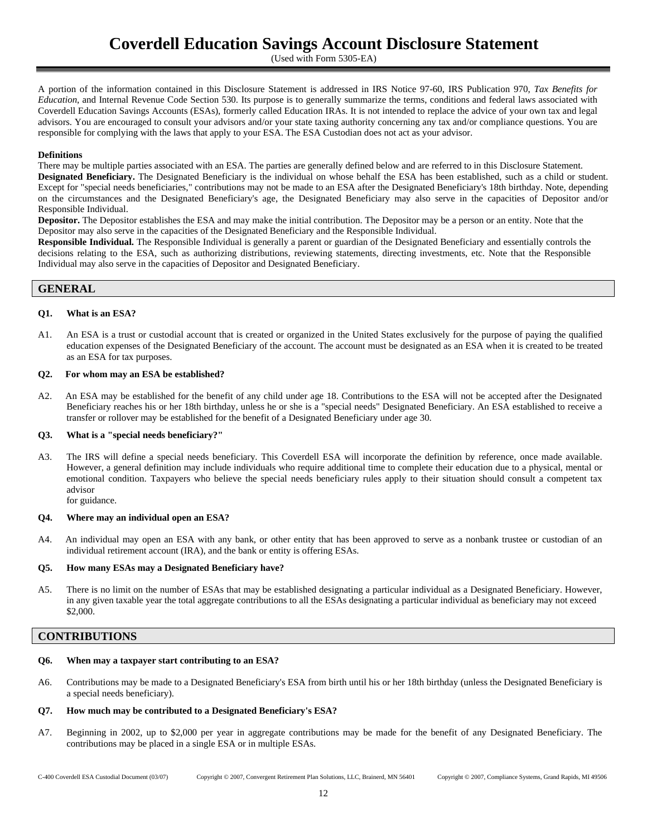(Used with Form 5305-EA)

A portion of the information contained in this Disclosure Statement is addressed in IRS Notice 97-60, IRS Publication 970, *Tax Benefits for Education*, and Internal Revenue Code Section 530. Its purpose is to generally summarize the terms, conditions and federal laws associated with Coverdell Education Savings Accounts (ESAs), formerly called Education IRAs. It is not intended to replace the advice of your own tax and legal advisors. You are encouraged to consult your advisors and/or your state taxing authority concerning any tax and/or compliance questions. You are responsible for complying with the laws that apply to your ESA. The ESA Custodian does not act as your advisor.

## **Definitions**

There may be multiple parties associated with an ESA. The parties are generally defined below and are referred to in this Disclosure Statement. **Designated Beneficiary.** The Designated Beneficiary is the individual on whose behalf the ESA has been established, such as a child or student. Except for "special needs beneficiaries," contributions may not be made to an ESA after the Designated Beneficiary's 18th birthday. Note, depending on the circumstances and the Designated Beneficiary's age, the Designated Beneficiary may also serve in the capacities of Depositor and/or Responsible Individual.

**Depositor.** The Depositor establishes the ESA and may make the initial contribution. The Depositor may be a person or an entity. Note that the Depositor may also serve in the capacities of the Designated Beneficiary and the Responsible Individual.

**Responsible Individual.** The Responsible Individual is generally a parent or guardian of the Designated Beneficiary and essentially controls the decisions relating to the ESA, such as authorizing distributions, reviewing statements, directing investments, etc. Note that the Responsible Individual may also serve in the capacities of Depositor and Designated Beneficiary.

# **GENERAL**

### **Q1. What is an ESA?**

A1. An ESA is a trust or custodial account that is created or organized in the United States exclusively for the purpose of paying the qualified education expenses of the Designated Beneficiary of the account. The account must be designated as an ESA when it is created to be treated as an ESA for tax purposes.

### **Q2. For whom may an ESA be established?**

A2. An ESA may be established for the benefit of any child under age 18. Contributions to the ESA will not be accepted after the Designated Beneficiary reaches his or her 18th birthday, unless he or she is a "special needs" Designated Beneficiary. An ESA established to receive a transfer or rollover may be established for the benefit of a Designated Beneficiary under age 30.

#### **Q3. What is a "special needs beneficiary?"**

A3. The IRS will define a special needs beneficiary. This Coverdell ESA will incorporate the definition by reference, once made available. However, a general definition may include individuals who require additional time to complete their education due to a physical, mental or emotional condition. Taxpayers who believe the special needs beneficiary rules apply to their situation should consult a competent tax advisor

for guidance.

#### **Q4. Where may an individual open an ESA?**

A4. An individual may open an ESA with any bank, or other entity that has been approved to serve as a nonbank trustee or custodian of an individual retirement account (IRA), and the bank or entity is offering ESAs.

#### **Q5. How many ESAs may a Designated Beneficiary have?**

A5. There is no limit on the number of ESAs that may be established designating a particular individual as a Designated Beneficiary. However, in any given taxable year the total aggregate contributions to all the ESAs designating a particular individual as beneficiary may not exceed \$2,000.

# **CONTRIBUTIONS**

#### **Q6. When may a taxpayer start contributing to an ESA?**

A6. Contributions may be made to a Designated Beneficiary's ESA from birth until his or her 18th birthday (unless the Designated Beneficiary is a special needs beneficiary).

## **Q7. How much may be contributed to a Designated Beneficiary's ESA?**

A7. Beginning in 2002, up to \$2,000 per year in aggregate contributions may be made for the benefit of any Designated Beneficiary. The contributions may be placed in a single ESA or in multiple ESAs.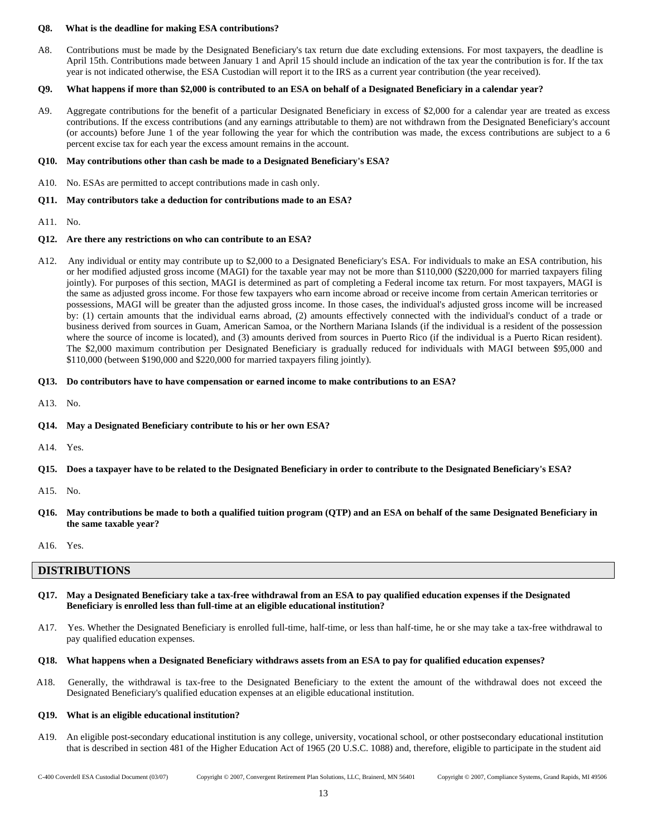#### **Q8. What is the deadline for making ESA contributions?**

A8. Contributions must be made by the Designated Beneficiary's tax return due date excluding extensions. For most taxpayers, the deadline is April 15th. Contributions made between January 1 and April 15 should include an indication of the tax year the contribution is for. If the tax year is not indicated otherwise, the ESA Custodian will report it to the IRS as a current year contribution (the year received).

## **Q9. What happens if more than \$2,000 is contributed to an ESA on behalf of a Designated Beneficiary in a calendar year?**

A9. Aggregate contributions for the benefit of a particular Designated Beneficiary in excess of \$2,000 for a calendar year are treated as excess contributions. If the excess contributions (and any earnings attributable to them) are not withdrawn from the Designated Beneficiary's account (or accounts) before June 1 of the year following the year for which the contribution was made, the excess contributions are subject to a 6 percent excise tax for each year the excess amount remains in the account.

## **Q10. May contributions other than cash be made to a Designated Beneficiary's ESA?**

A10. No. ESAs are permitted to accept contributions made in cash only.

### **Q11. May contributors take a deduction for contributions made to an ESA?**

A11. No.

### **Q12. Are there any restrictions on who can contribute to an ESA?**

A12. Any individual or entity may contribute up to \$2,000 to a Designated Beneficiary's ESA. For individuals to make an ESA contribution, his or her modified adjusted gross income (MAGI) for the taxable year may not be more than \$110,000 (\$220,000 for married taxpayers filing jointly). For purposes of this section, MAGI is determined as part of completing a Federal income tax return. For most taxpayers, MAGI is the same as adjusted gross income. For those few taxpayers who earn income abroad or receive income from certain American territories or possessions, MAGI will be greater than the adjusted gross income. In those cases, the individual's adjusted gross income will be increased by: (1) certain amounts that the individual earns abroad, (2) amounts effectively connected with the individual's conduct of a trade or business derived from sources in Guam, American Samoa, or the Northern Mariana Islands (if the individual is a resident of the possession where the source of income is located), and (3) amounts derived from sources in Puerto Rico (if the individual is a Puerto Rican resident). The \$2,000 maximum contribution per Designated Beneficiary is gradually reduced for individuals with MAGI between \$95,000 and \$110,000 (between \$190,000 and \$220,000 for married taxpayers filing jointly).

## **Q13. Do contributors have to have compensation or earned income to make contributions to an ESA?**

- A13. No.
- **Q14. May a Designated Beneficiary contribute to his or her own ESA?**
- A14. Yes.
- **Q15. Does a taxpayer have to be related to the Designated Beneficiary in order to contribute to the Designated Beneficiary's ESA?**

- **Q16. May contributions be made to both a qualified tuition program (QTP) and an ESA on behalf of the same Designated Beneficiary in the same taxable year?**
- A16. Yes.

## **DISTRIBUTIONS**

- **Q17. May a Designated Beneficiary take a tax-free withdrawal from an ESA to pay qualified education expenses if the Designated Beneficiary is enrolled less than full-time at an eligible educational institution?**
- A17. Yes. Whether the Designated Beneficiary is enrolled full-time, half-time, or less than half-time, he or she may take a tax-free withdrawal to pay qualified education expenses.

#### **Q18. What happens when a Designated Beneficiary withdraws assets from an ESA to pay for qualified education expenses?**

A18. Generally, the withdrawal is tax-free to the Designated Beneficiary to the extent the amount of the withdrawal does not exceed the Designated Beneficiary's qualified education expenses at an eligible educational institution.

#### **Q19. What is an eligible educational institution?**

A19. An eligible post-secondary educational institution is any college, university, vocational school, or other postsecondary educational institution that is described in section 481 of the Higher Education Act of 1965 (20 U.S.C. 1088) and, therefore, eligible to participate in the student aid

A15. No.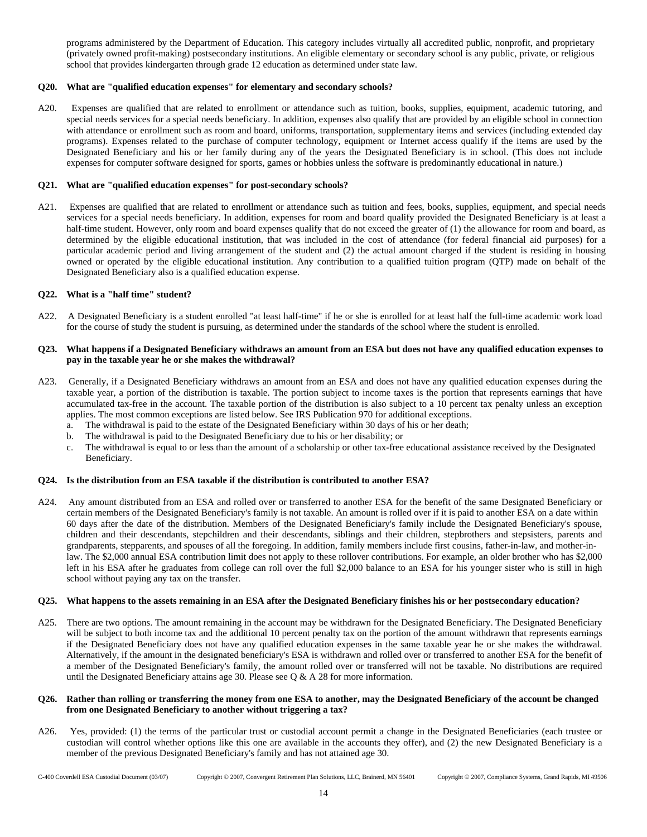programs administered by the Department of Education. This category includes virtually all accredited public, nonprofit, and proprietary (privately owned profit-making) postsecondary institutions. An eligible elementary or secondary school is any public, private, or religious school that provides kindergarten through grade 12 education as determined under state law.

### **Q20. What are "qualified education expenses" for elementary and secondary schools?**

A20. Expenses are qualified that are related to enrollment or attendance such as tuition, books, supplies, equipment, academic tutoring, and special needs services for a special needs beneficiary. In addition, expenses also qualify that are provided by an eligible school in connection with attendance or enrollment such as room and board, uniforms, transportation, supplementary items and services (including extended day programs). Expenses related to the purchase of computer technology, equipment or Internet access qualify if the items are used by the Designated Beneficiary and his or her family during any of the years the Designated Beneficiary is in school. (This does not include expenses for computer software designed for sports, games or hobbies unless the software is predominantly educational in nature.)

#### **Q21. What are "qualified education expenses" for post-secondary schools?**

A21. Expenses are qualified that are related to enrollment or attendance such as tuition and fees, books, supplies, equipment, and special needs services for a special needs beneficiary. In addition, expenses for room and board qualify provided the Designated Beneficiary is at least a half-time student. However, only room and board expenses qualify that do not exceed the greater of (1) the allowance for room and board, as determined by the eligible educational institution, that was included in the cost of attendance (for federal financial aid purposes) for a particular academic period and living arrangement of the student and (2) the actual amount charged if the student is residing in housing owned or operated by the eligible educational institution. Any contribution to a qualified tuition program (QTP) made on behalf of the Designated Beneficiary also is a qualified education expense.

#### **Q22. What is a "half time" student?**

A22. A Designated Beneficiary is a student enrolled "at least half-time" if he or she is enrolled for at least half the full-time academic work load for the course of study the student is pursuing, as determined under the standards of the school where the student is enrolled.

#### **Q23. What happens if a Designated Beneficiary withdraws an amount from an ESA but does not have any qualified education expenses to pay in the taxable year he or she makes the withdrawal?**

- A23. Generally, if a Designated Beneficiary withdraws an amount from an ESA and does not have any qualified education expenses during the taxable year, a portion of the distribution is taxable. The portion subject to income taxes is the portion that represents earnings that have accumulated tax-free in the account. The taxable portion of the distribution is also subject to a 10 percent tax penalty unless an exception applies. The most common exceptions are listed below. See IRS Publication 970 for additional exceptions.
	- a. The withdrawal is paid to the estate of the Designated Beneficiary within 30 days of his or her death;
	- b. The withdrawal is paid to the Designated Beneficiary due to his or her disability; or
	- c. The withdrawal is equal to or less than the amount of a scholarship or other tax-free educational assistance received by the Designated Beneficiary.

# **Q24. Is the distribution from an ESA taxable if the distribution is contributed to another ESA?**

A24. Any amount distributed from an ESA and rolled over or transferred to another ESA for the benefit of the same Designated Beneficiary or certain members of the Designated Beneficiary's family is not taxable. An amount is rolled over if it is paid to another ESA on a date within 60 days after the date of the distribution. Members of the Designated Beneficiary's family include the Designated Beneficiary's spouse, children and their descendants, stepchildren and their descendants, siblings and their children, stepbrothers and stepsisters, parents and grandparents, stepparents, and spouses of all the foregoing. In addition, family members include first cousins, father-in-law, and mother-inlaw. The \$2,000 annual ESA contribution limit does not apply to these rollover contributions. For example, an older brother who has \$2,000 left in his ESA after he graduates from college can roll over the full \$2,000 balance to an ESA for his younger sister who is still in high school without paying any tax on the transfer.

#### **Q25. What happens to the assets remaining in an ESA after the Designated Beneficiary finishes his or her postsecondary education?**

A25. There are two options. The amount remaining in the account may be withdrawn for the Designated Beneficiary. The Designated Beneficiary will be subject to both income tax and the additional 10 percent penalty tax on the portion of the amount withdrawn that represents earnings if the Designated Beneficiary does not have any qualified education expenses in the same taxable year he or she makes the withdrawal. Alternatively, if the amount in the designated beneficiary's ESA is withdrawn and rolled over or transferred to another ESA for the benefit of a member of the Designated Beneficiary's family, the amount rolled over or transferred will not be taxable. No distributions are required until the Designated Beneficiary attains age 30. Please see  $\overline{Q}$  & A 28 for more information.

#### **Q26. Rather than rolling or transferring the money from one ESA to another, may the Designated Beneficiary of the account be changed from one Designated Beneficiary to another without triggering a tax?**

A26. Yes, provided: (1) the terms of the particular trust or custodial account permit a change in the Designated Beneficiaries (each trustee or custodian will control whether options like this one are available in the accounts they offer), and (2) the new Designated Beneficiary is a member of the previous Designated Beneficiary's family and has not attained age 30.